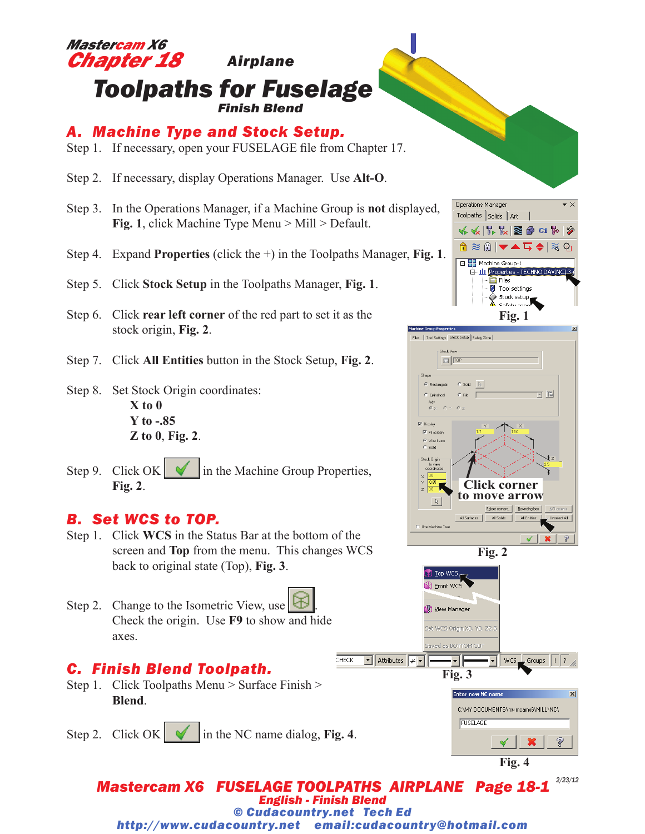

Step 9. Click  $OK \cup$  in the Machine Group Properties, **Fig. 2**.

### *B. Set WCS to TOP.*

Step 1. Click **WCS** in the Status Bar at the bottom of the screen and **Top** from the menu. This changes WCS back to original state (Top), **Fig. 3**.

Step 2. Change to the Isometric View, use Check the origin. Use **F9** to show and hide axes.

## *C. Finish Blend Toolpath.*

Step 1. Click Toolpaths Menu > Surface Finish > **Blend**.

Step 2. Click  $OK \cup$  in the NC name dialog, Fig. 4.





*Mastercam X6 FUSELAGE TOOLPATHS AIRPLANE Page 18-1 English - Finish Blend 2/23/12 © Cudacountry.net Tech Ed http://www.cudacountry.net email:cudacountry@hotmail.com*

 $\overline{\text{CHECK}}$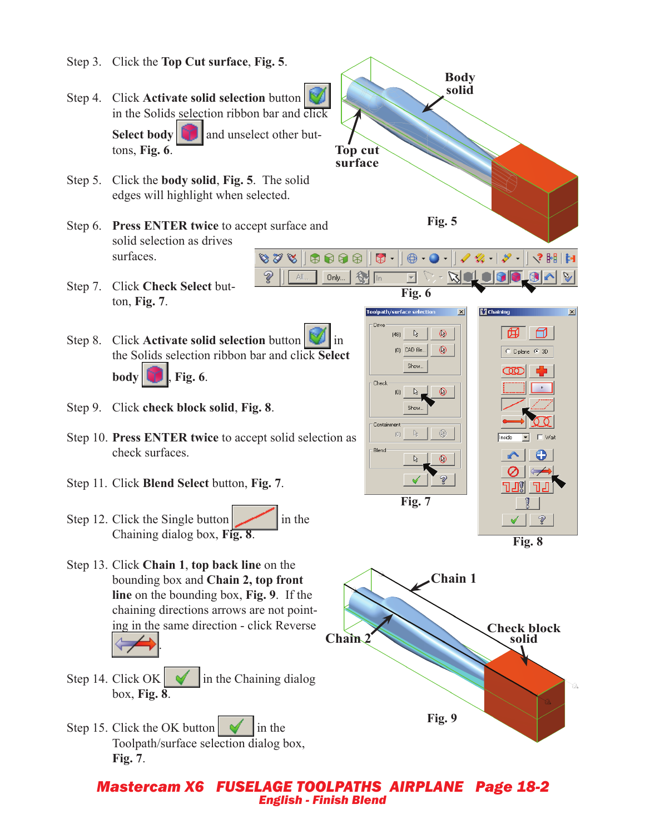- Step 3. Click the **Top Cut surface**, **Fig. 5**.
- Step 4. Click **Activate solid selection** button in the Solids selection ribbon bar and click **Select body** and unselect other buttons, **Fig. 6**.
- Step 5. Click the **body solid**, **Fig. 5**. The solid edges will highlight when selected.
- Step 6. **Press ENTER twice** to accept surface and solid selection as drives surfaces.  $878$
- Step 7. Click **Check Select** button, **Fig. 7**.
- **Step 8.** Click **Activate solid selection** button **in** in the Solids selection ribbon bar and click **Select body** , **Fig. 6**.

V

All.

- Step 9. Click **check block solid**, **Fig. 8**.
- Step 10. **Press ENTER twice** to accept solid selection as check surfaces.
- Step 11. Click **Blend Select** button, **Fig. 7**.
- Step 12. Click the Single button  $\sim$  in the Chaining dialog box, **Fig. 8**.
- Step 13. Click **Chain 1**, **top back line** on the bounding box and **Chain 2, top front line** on the bounding box, **Fig. 9**. If the chaining directions arrows are not pointing in the same direction - click Reverse .
- Step 14. Click OK  $\parallel \mathbf{\nabla} \parallel$  in the Chaining dialog box, **Fig. 8**.
- Step 15. Click the OK button  $\sim$  in the Toolpath/surface selection dialog box, **Fig. 7**.



#### *Mastercam X6 FUSELAGE TOOLPATHS AIRPLANE Page 18-2 English - Finish Blend*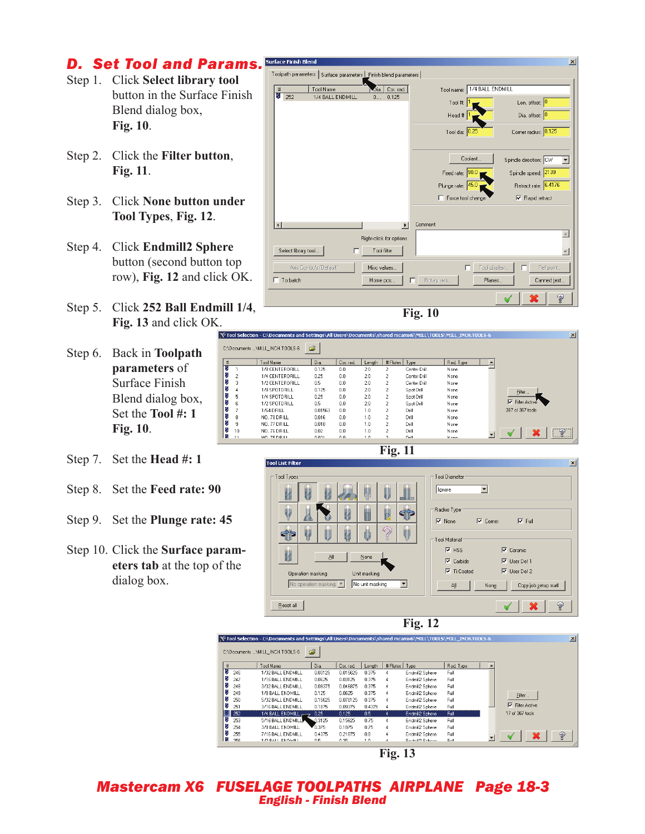## *D. Set Tool and Params.*

- Step 1. Click **Select library tool**  button in the Surface Finish Blend dialog box, **Fig. 10**.
- Step 2. Click the **Filter button**, **Fig. 11**.
- Step 3. Click **None button under Tool Types**, **Fig. 12**.
- Step 4. Click **Endmill2 Sphere** button (second button top row), **Fig. 12** and click OK.
- Step 5. Click **252 Ball Endmill 1/4**, **Fig. 13** and click OK.
- Step 6. Back in **Toolpath parameters** of Surface Finish Blend dialog box, Set the **Tool #: 1 Fig. 10**.
- Step 7. Set the **Head #: 1**
- Step 8. Set the **Feed rate: 90**
- Step 9. Set the **Plunge rate: 45**
- Step 10. Click the **Surface parameters tab** at the top of the dialog box.



**Fig. 10**

| $\vert x \vert$<br>Tool Selection - C:\Documents and Settings\All Users\Documents\shared mcamx6\MILL\T00LS\MILL_INCH.T00LS-6 |                |                 |         |           |        |                |              |           |  |                        |  |
|------------------------------------------------------------------------------------------------------------------------------|----------------|-----------------|---------|-----------|--------|----------------|--------------|-----------|--|------------------------|--|
|                                                                                                                              |                |                 |         |           |        |                |              |           |  |                        |  |
| É<br>:\Documents \MILL INCH.TOOLS-6                                                                                          |                |                 |         |           |        |                |              |           |  |                        |  |
| #                                                                                                                            |                | Tool Name       | Dia.    | Cor. rad. | Length | # Flutes       | Type         | Rad. Type |  |                        |  |
|                                                                                                                              |                | 1/8 CENTERDRILL | 0.125   | 0.0       | 2.0    | $\overline{c}$ | Center Drill | None      |  |                        |  |
|                                                                                                                              | $\overline{c}$ | 1/4 CENTERDRILL | 0.25    | 0.0       | 2.0    | $\overline{c}$ | Center Drill | None      |  |                        |  |
|                                                                                                                              | 3              | 1/2 CENTERDRILL | 0.5     | 0.0       | 2.0    | $\overline{2}$ | Center Drill | None      |  |                        |  |
|                                                                                                                              | 4              | 1/8 SPOTDRILL   | 0.125   | 0.0       | 2.0    | 2              | Spot Drill   | None      |  | Filter                 |  |
|                                                                                                                              | 5              | 1/4 SPOTDRILL   | 0.25    | 0.0       | 2.0    | $\overline{c}$ | Spot Drill   | None      |  |                        |  |
|                                                                                                                              | 6              | 1/2 SPOTDRILL   | 0.5     | 0.0       | 2.0    | 2              | Spot Drill   | None      |  | $\nabla$ Filter Active |  |
|                                                                                                                              | ь              | 1/64 DRILL      | 0.01563 | 0.0       | 1.0    | $\overline{c}$ | Drill        | None      |  | 367 of 367 tools       |  |
|                                                                                                                              | 8              | NO. 78 DRILL    | 0.016   | 0.0       | 1.0    | 2              | Drill        | None      |  |                        |  |
|                                                                                                                              | 9              | NO. 77 DRILL    | 0.018   | 0.0       | 1.0    | 2              | Drill        | None      |  |                        |  |
|                                                                                                                              | 10             | NO. 76 DRILL    | 0.02    | 0.0       | 1.0    | $\overline{c}$ | Drill        | None      |  | $\mathcal{L}_{2}$      |  |
|                                                                                                                              | 11             | MO 75 DRU       | 0.021   | 0.0       | 1.0.   | o.             | Dall.        | Mono      |  |                        |  |

**Fig. 11**

Tool List Filter  $\mathbf{x}$ Tool Diamete Tool Type **Ignore**  $\overline{\mathbf{r}}$ Radius Type W h n. 99  $\overline{\vee}$  None  $\overline{\triangledown}$  Corner  $\overline{\blacktriangledown}$  Full අ W Tool Material  $\nabla$  HSS  $\overline{\blacktriangledown}$  Ceramic W Αl None  $\nabla$  Carbide  $\overline{\vee}$  User Def 1  $\overline{\triangledown}$  User Def 2 **▽** Ti Coated Unit masking Operation masking No operation masking | No unit masking  $\overline{\phantom{a}}$ Copy job setup matl Aļl None  ${\underline{\mathrm{Re}}}$ eset all V





**Fig. 13**

*Mastercam X6 FUSELAGE TOOLPATHS AIRPLANE Page 18-3 English - Finish Blend*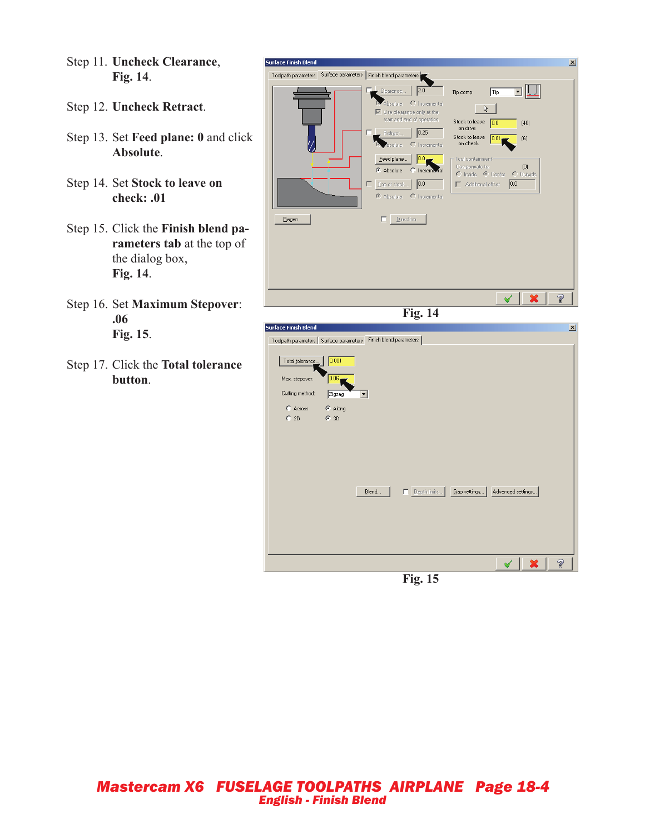- Step 11. **Uncheck Clearance**, **Fig. 14**.
- Step 12. **Uncheck Retract**.
- Step 13. Set **Feed plane: 0** and click **Absolute**.
- Step 14. Set **Stock to leave on check: .01**
- Step 15. Click the **Finish blend parameters tab** at the top of the dialog box, **Fig. 14**.
- Step 16. Set **Maximum Stepover**: **.06 Fig. 15**.
- Step 17. Click the **Total tolerance button**.



**Fig. 15**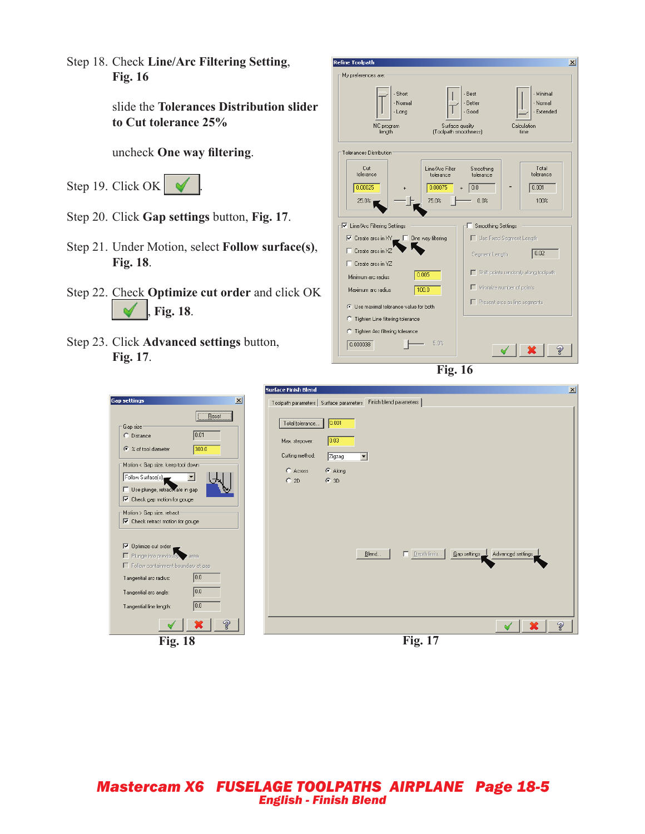Step 18. Check **Line/Arc Filtering Setting**, **Fig. 16**

> slide the **Tolerances Distribution slider to Cut tolerance 25%**

uncheck **One way filtering**.

Step 19. Click OK  $\sim$ 



- Step 20. Click **Gap settings** button, **Fig. 17**.
- Step 21. Under Motion, select **Follow surface(s)**, **Fig. 18**.
- Step 22. Check **Optimize cut order** and click OK , **Fig. 18**. ✔
- Step 23. Click **Advanced settings** button, **Fig. 17**.

| <b>Refine Toolpath</b>                                                                  |                                                  |                                       |             | $\vert x \vert$                             |  |
|-----------------------------------------------------------------------------------------|--------------------------------------------------|---------------------------------------|-------------|---------------------------------------------|--|
| My preferences are:                                                                     |                                                  |                                       |             |                                             |  |
| - Short<br>- Normal<br>- Long<br>NC program<br>length                                   | Surface quality<br>(Toolpath smoothness)         | - Best<br>- Better<br>- Good          | Calculation | · Minimal<br>- Normal<br>- Extended<br>time |  |
| Tolerances Distribution                                                                 |                                                  |                                       |             |                                             |  |
| Cut<br>tolerance<br>0.00025<br>25.0%                                                    | Line/Arc Filter<br>tolerance<br>0.00075<br>75.0% | Smoothing<br>tolerance<br>0.0<br>0.0% | $=$         | Total<br>tolerance<br>0.001<br>100%         |  |
|                                                                                         |                                                  |                                       |             |                                             |  |
| √ Line/Arc Filtering Settings                                                           |                                                  | <b>■ Smoothing Settings</b>           |             |                                             |  |
| $\overline{\mathsf{v}}$ Create arcs in XY $\_\ \overline{\mathsf{v}}$ One way filtering |                                                  | Use Fixed Segment Length              |             |                                             |  |
| Create arcs in XZ                                                                       |                                                  | Segment Length                        |             | 0.02                                        |  |
| $\Box$ Create arcs in YZ                                                                |                                                  |                                       |             | Shift points randomly along toolpath        |  |
| Minimum are radius                                                                      | 0.005                                            |                                       |             |                                             |  |
| Maximum arc radius                                                                      | 100.0                                            | Minimize number of points             |             |                                             |  |
| ◯ Use maximal tolerance value for both                                                  |                                                  | $\Box$ Present arcs as line segments  |             |                                             |  |
| C Tighten Line filtering tolerance                                                      |                                                  |                                       |             |                                             |  |
| C Tighten Arc filtering tolerance                                                       |                                                  |                                       |             |                                             |  |
| 0.000038                                                                                | 5.0%                                             |                                       |             |                                             |  |



|                                                                                                                                                                                                                                                                                                                                                                                                                                                                                                                                                                                   | $\vert x \vert$<br><b>Surface Finish Blend</b>                                                                                                                                                                                                    |  |
|-----------------------------------------------------------------------------------------------------------------------------------------------------------------------------------------------------------------------------------------------------------------------------------------------------------------------------------------------------------------------------------------------------------------------------------------------------------------------------------------------------------------------------------------------------------------------------------|---------------------------------------------------------------------------------------------------------------------------------------------------------------------------------------------------------------------------------------------------|--|
| $\vert x \vert$<br><b>Gap settings</b>                                                                                                                                                                                                                                                                                                                                                                                                                                                                                                                                            | Finish blend parameters<br>Toolpath parameters   Surface parameters                                                                                                                                                                               |  |
| Reset<br>Gap size<br>0.01<br>C Distance<br>300.0<br>← % of tool diameter<br>Motion < Gap size, keep tool down:<br>Follow Surface(s)<br>$\overline{\phantom{a}}$<br>Use plunge, retractuate in gap<br>$\overline{\blacktriangledown}$ Check gap motion for gouge<br>Motion > Gap size, retract:<br>$\overline{\nabla}$ Check retract motion for gouge<br>$\nabla$ Optimize cut order<br>Plunge into previously area<br>Follow containment boundary at gap<br> 0.0 <br>Tangential arc radius:<br>0.0<br>Tangential arc angle:<br>$\boxed{0.0}$<br>Tangential line length:<br>Ž<br>X | 0.001<br>Total tolerance<br>0.03<br>Max. stepover:<br>Cutting method:<br>Zigzag<br>$\blacktriangledown$<br>$\odot$ Along<br>C Across<br>$C$ 2D<br>$G$ 3D<br>$\Box$ Depth limits<br>Gap settings. Advanced settings.<br>Blend<br>Ž<br>$\mathbf{x}$ |  |
| <b>Fig. 18</b>                                                                                                                                                                                                                                                                                                                                                                                                                                                                                                                                                                    | <b>Fig. 17</b>                                                                                                                                                                                                                                    |  |
|                                                                                                                                                                                                                                                                                                                                                                                                                                                                                                                                                                                   |                                                                                                                                                                                                                                                   |  |

*Mastercam X6 FUSELAGE TOOLPATHS AIRPLANE Page 18-5 English - Finish Blend*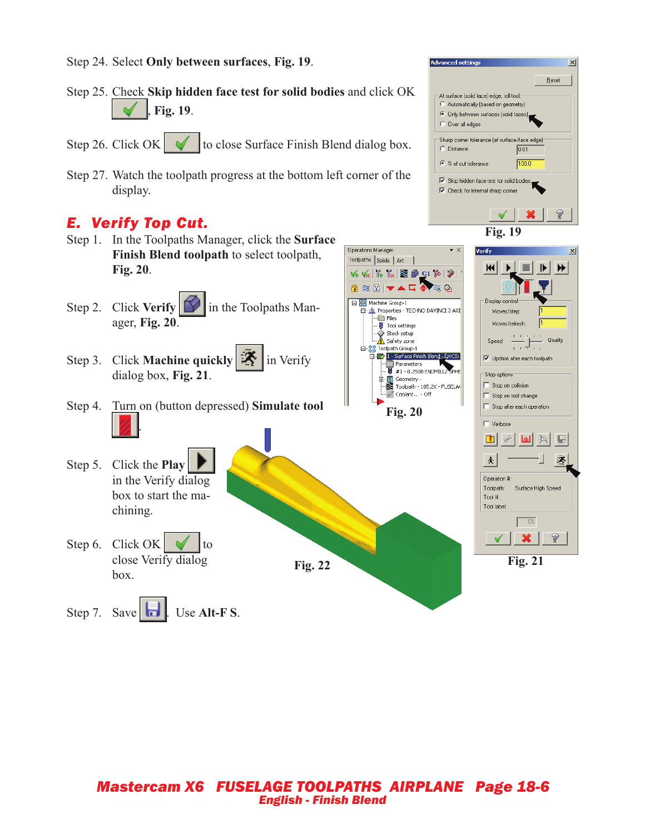Step 24. Select **Only between surfaces**, **Fig. 19**.



**Advanced settings** 

 $\overline{\mathsf{x}}$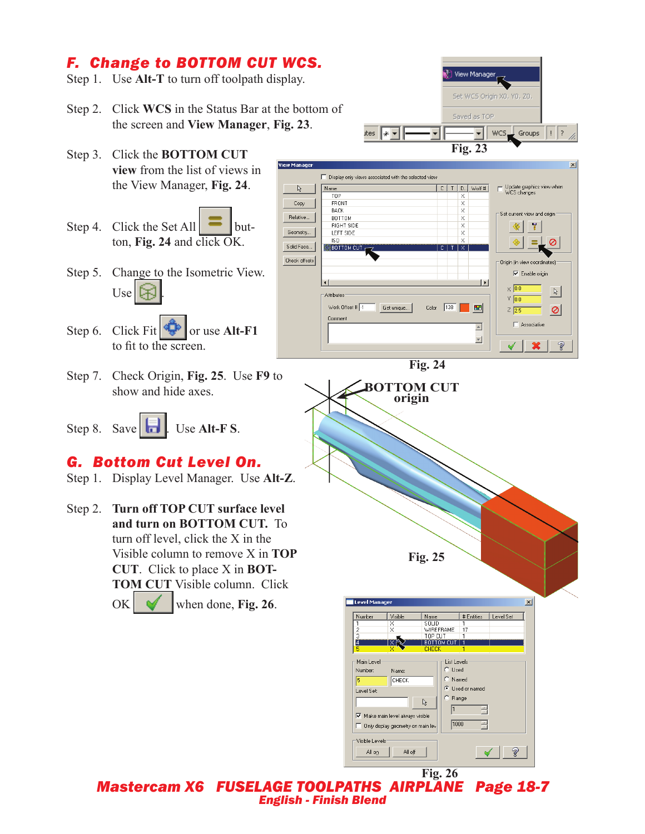# *F. Change to BOTTOM CUT WCS.*

- Step 1. Use **Alt-T** to turn off toolpath display.
- Step 2. Click **WCS** in the Status Bar at the bottom of the screen and **View Manager**, **Fig. 23**.
- Step 3. Click the **BOTTOM CUT view** from the list of views in the View Manager, **Fig. 24**.
- Step 4. Click the Set All  $\sim$  button, **Fig. 24** and click OK.
- Step 5. Change to the Isometric View.  $Use  $\sqrt{2}$$
- Step 6. Click Fit  $\sqrt{\frac{1}{2}}$  or use **Alt-F1** to fit to the screen.
- Step 7. Check Origin, **Fig. 25**. Use **F9** to show and hide axes.
- Step 8. Save **...** Use Alt-F S.

# *G. Bottom Cut Level On.*

- Step 1. Display Level Manager. Use **Alt-Z**.
- Step 2. **Turn off TOP CUT surface level and turn on BOTTOM CUT.** To turn off level, click the X in the Visible column to remove X in **TOP CUT**. Click to place X in **BOT-TOM CUT** Visible column. Click  $OK \sim$  when done, Fig. 26.



*Mastercam X6 FUSELAGE TOOLPATHS AIRPLANE Page 18-7 English - Finish Blend* **Fig. 26**

Visible Levels All o<u>n</u>

 $\mathop{\mathsf{All}}\nolimits$  off

 $\vert \blacktriangleleft \vert$ 

?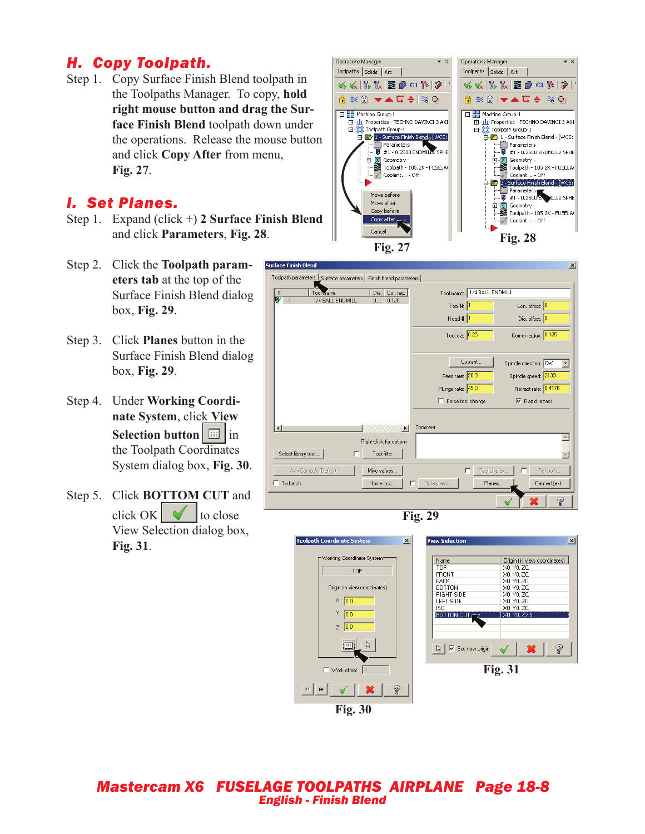# *H. Copy Toolpath.*

Step 1. Copy Surface Finish Blend toolpath in the Toolpaths Manager. To copy, **hold right mouse button and drag the Surface Finish Blend** toolpath down under the operations. Release the mouse button and click **Copy After** from menu, **Fig. 27**.

### *I. Set Planes.*

- Step 1. Expand (click +) **2 Surface Finish Blend** and click **Parameters**, **Fig. 28**.
- Step 2. Click the **Toolpath parameters tab** at the top of the Surface Finish Blend dialog box, **Fig. 29**.
- Step 3. Click **Planes** button in the Surface Finish Blend dialog box, **Fig. 29**.
- Step 4. Under **Working Coordinate System**, click **View Selection button** in the Toolpath Coordinates System dialog box, **Fig. 30**.
- Step 5. Click **BOTTOM CUT** and click OK  $\parallel \checkmark \parallel$  to close View Selection dialog box, **Fig. 31**.











#### *Mastercam X6 FUSELAGE TOOLPATHS AIRPLANE Page 18-8 English - Finish Blend*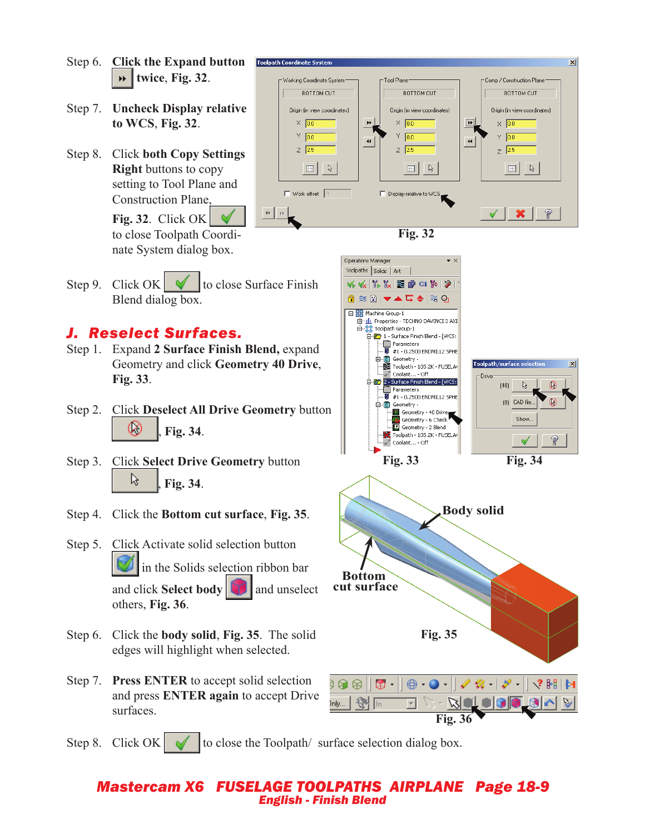- Step 6. **Click the Expand button Toolpath Coordinate System twice**, **Fig. 32**.
- Step 7. **Uncheck Display relative to WCS**, **Fig. 32**.
- Step 8. Click **both Copy Settings Right** buttons to copy setting to Tool Plane and Construction Plane,

**Fig. 32**. Click OK to close Toolpath Coordinate System dialog box.

 $\vert x \vert$ Tool Plane Working Coordinate System Comp / Construction Plane **BOTTOM CUT BOTTOM CUT BOTTOM CUT** Origin (in view coordinates) Origin (in view coordinates) Origin (in view coordinates)  $\boxed{M}$  $\times$  0.0  $\blacktriangleright\blacktriangleright$  $\times$  0.0  $\times$  0.0  $\times$  0.0  $\overline{0.0}$ Ÿ  $\overline{0.0}$  $\overline{\mathbf{H}}$  $\blacktriangleleft$  $Z$  25  $Z$  2.5  $\overline{z}$  2.5  $\mathbb{R}$  $\mathbb{R}^ \ensuremath{\mathbb{R}}$  $\Box$  $\overline{\mathbb{H}}$  $\Box$  $\Box$  Work offset  $\Box$ Display relative to WCS  $\left| \cdot \right|$   $\left| \cdot \right|$ Ž  $\blacktriangledown$ 

**Fig. 32**

Step 9. Click OK  $\forall$  to close Surface Finish Blend dialog box.

#### *J. Reselect Surfaces.*

- Step 1. Expand **2 Surface Finish Blend,** expand Geometry and click **Geometry 40 Drive**, **Fig. 33**.
- Step 2. Click **Deselect All Drive Geometry** button Ø , **Fig. 34**.
- Step 3. Click **Select Drive Geometry** button ક્રિ , **Fig. 34**.
- Step 4. Click the **Bottom cut surface**, **Fig. 35**.
- Step 5. Click Activate solid selection button in the Solids selection ribbon bar and click **Select body** and unselect others, **Fig. 36**.
- Step 6. Click the **body solid**, **Fig. 35**. The solid edges will highlight when selected.
- Step 7. **Press ENTER** to accept solid selection and press **ENTER again** to accept Drive surfaces.



Step 8. Click  $OK \cup$  to close the Toolpath/ surface selection dialog box.

#### *Mastercam X6 FUSELAGE TOOLPATHS AIRPLANE Page 18-9 English - Finish Blend*